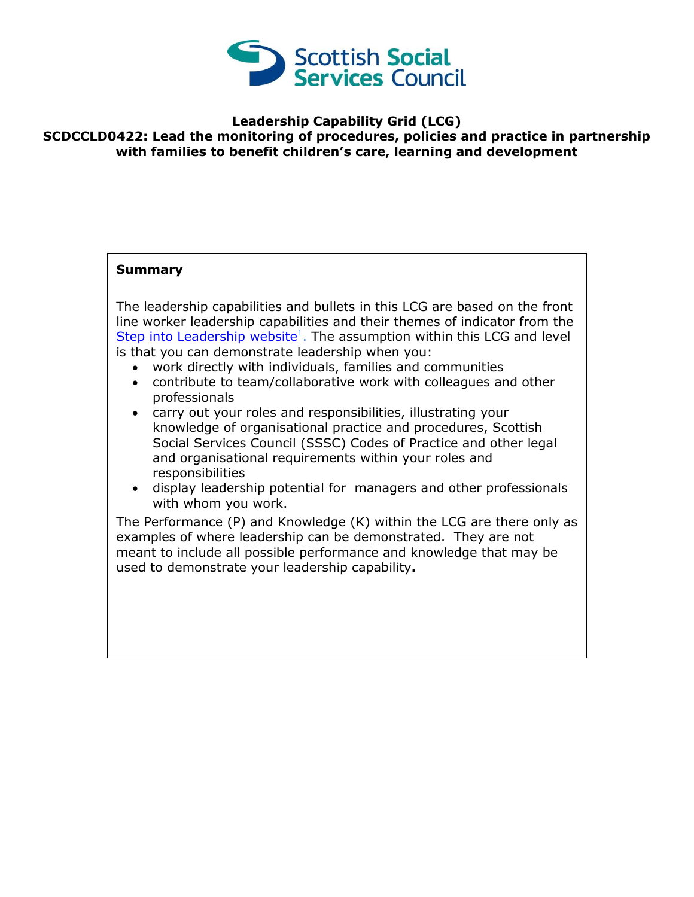

## **Leadership Capability Grid (LCG) SCDCCLD0422: Lead the monitoring of procedures, policies and practice in partnership with families to benefit children's care, learning and development**

## **Summary**

The leadership capabilities and bullets in this LCG are based on the front line worker leadership capabilities and their themes of indicator from the [Step into Leadership website](http://www.stepintoleadership.info/)<sup>1</sup>. The assumption within this LCG and level is that you can demonstrate leadership when you:

- work directly with individuals, families and communities
- contribute to team/collaborative work with colleagues and other professionals
- carry out your roles and responsibilities, illustrating your knowledge of organisational practice and procedures, Scottish Social Services Council (SSSC) Codes of Practice and other legal and organisational requirements within your roles and responsibilities
- display leadership potential for managers and other professionals with whom you work.

The Performance (P) and Knowledge (K) within the LCG are there only as examples of where leadership can be demonstrated. They are not meant to include all possible performance and knowledge that may be used to demonstrate your leadership capability**.**